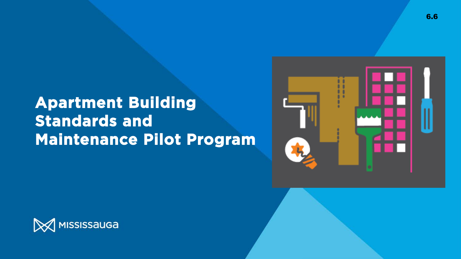### **Apartment Building Standards and Maintenance Pilot Program**



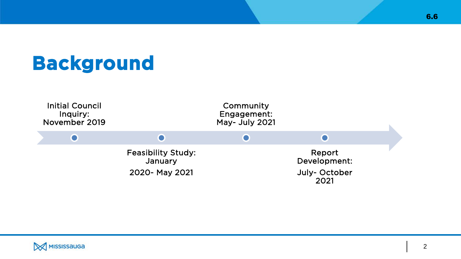## **Background**



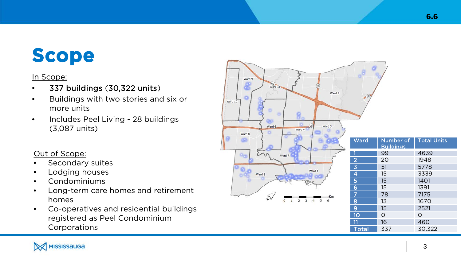## **Scope**

### In Scope:

- 337 buildings (30,322 units )
- Buildings with two stories and six or more units
- Includes Peel Living 28 buildings (3,087 units)

### Out of Scope:

- Secondary suites
- Lodging houses
- Condominiums
- Long-term care homes and retirement homes
- Co -operatives and residential buildings registered as Peel Condominium **Corporations**



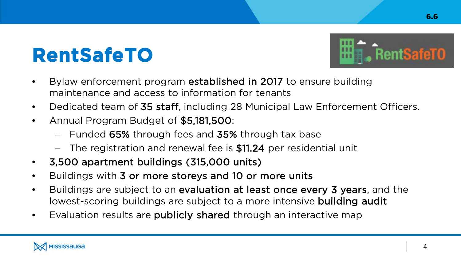## **RentSafeTO**



- Dedicated team of 35 staff, including 28 Municipal Law Enforcement Officers.
- Annual Program Budget of \$5,181,500:
	- Funded 65% through fees and 35% through tax base
	- The registration and renewal fee is \$11.24 per residential unit
- 3,500 apartment buildings (315,000 units)
- Buildings with 3 or more storeys and 10 or more units
- Buildings are subject to an evaluation at least once every 3 years, and the lowest-scoring buildings are subject to a more intensive building audit
- Evaluation results are **publicly shared** through an interactive map





6.6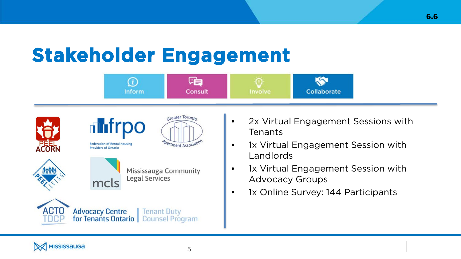## **Stakeholder Engagement**



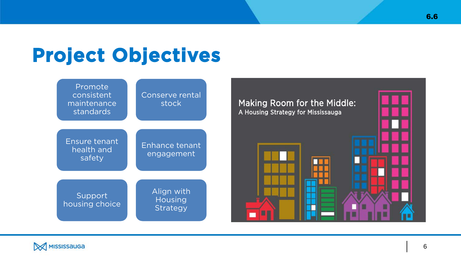## **Project Objectives**



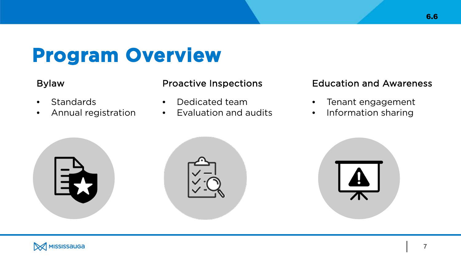### **Program Overview**

- Standards
- Annual registration

- Dedicated team
- Evaluation and audits

### Bylaw Proactive Inspections Education and Awareness

- Tenant engagement
- Information sharing



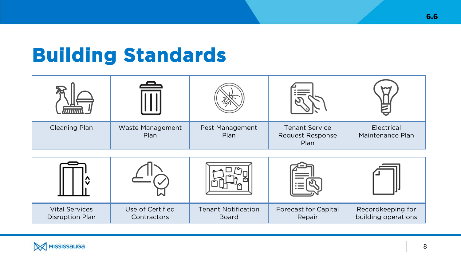### **Building Standards**

|               | $\triangle$              |                         |                                                   |                                |  |  |
|---------------|--------------------------|-------------------------|---------------------------------------------------|--------------------------------|--|--|
| Cleaning Plan | Waste Management<br>Plan | Pest Management<br>Plan | <b>Tenant Service</b><br>Request Response<br>Plan | Electrical<br>Maintenance Plan |  |  |



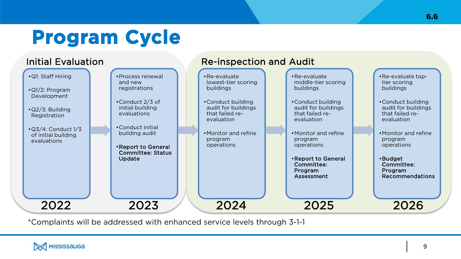## **Program Cycle**



\*Complaints will be addressed with enhanced service levels through 3-1-1

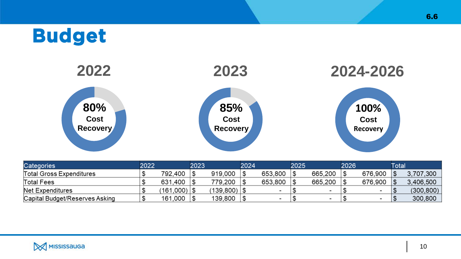### **Budget**



| <b>Categories</b>               | 2022 |                        | 2023 |            | 2024 |         | 2025 |         | 2026 |         | Гоtal |            |
|---------------------------------|------|------------------------|------|------------|------|---------|------|---------|------|---------|-------|------------|
| <b>Total Gross Expenditures</b> |      | 792.400                |      | 919,000    |      | 653.800 |      | 665,200 |      | 676,900 |       | 3,707,300  |
| <b>Total Fees</b>               |      | 631,400                |      | 779,200    |      | 653,800 |      | 665,200 |      | 676,900 |       | 3.406.500  |
| Net Expenditures                |      | $(161,000)$ $\vert$ \$ |      | (139, 800) |      |         |      |         |      |         |       | (300, 800) |
| Capital Budget/Reserves Asking  |      | 161,000                |      | 139,800    |      |         |      |         |      |         |       | 300,800    |

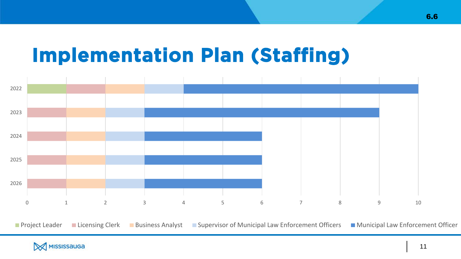### **Implementation Plan (Staffing)**



**Project Leader** Licensing Clerk Business Analyst Supervisor of Municipal Law Enforcement Officers Municipal Law Enforcement Officer



6.6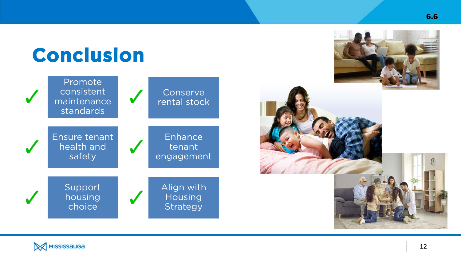## **Conclusion**









6.6